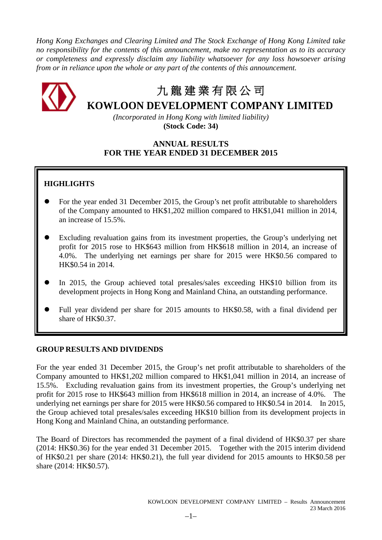*Hong Kong Exchanges and Clearing Limited and The Stock Exchange of Hong Kong Limited take no responsibility for the contents of this announcement, make no representation as to its accuracy or completeness and expressly disclaim any liability whatsoever for any loss howsoever arising from or in reliance upon the whole or any part of the contents of this announcement.*



# 九 龍 建 業 有 限 公 司

# **KOWLOON DEVELOPMENT COMPANY LIMITED**

*(Incorporated in Hong Kong with limited liability)* **(Stock Code: 34)**

# **ANNUAL RESULTS FOR THE YEAR ENDED 31 DECEMBER 2015**

# **HIGHLIGHTS**

- For the year ended 31 December 2015, the Group's net profit attributable to shareholders of the Company amounted to HK\$1,202 million compared to HK\$1,041 million in 2014, an increase of 15.5%.
- Excluding revaluation gains from its investment properties, the Group's underlying net profit for 2015 rose to HK\$643 million from HK\$618 million in 2014, an increase of 4.0%. The underlying net earnings per share for 2015 were HK\$0.56 compared to HK\$0.54 in 2014.
- In 2015, the Group achieved total presales/sales exceeding HK\$10 billion from its development projects in Hong Kong and Mainland China, an outstanding performance.
- Full year dividend per share for 2015 amounts to HK\$0.58, with a final dividend per share of HK\$0.37.

# **GROUP RESULTS AND DIVIDENDS**

For the year ended 31 December 2015, the Group's net profit attributable to shareholders of the Company amounted to HK\$1,202 million compared to HK\$1,041 million in 2014, an increase of 15.5%. Excluding revaluation gains from its investment properties, the Group's underlying net profit for 2015 rose to HK\$643 million from HK\$618 million in 2014, an increase of 4.0%. The underlying net earnings per share for 2015 were HK\$0.56 compared to HK\$0.54 in 2014. In 2015, the Group achieved total presales/sales exceeding HK\$10 billion from its development projects in Hong Kong and Mainland China, an outstanding performance.

The Board of Directors has recommended the payment of a final dividend of HK\$0.37 per share (2014: HK\$0.36) for the year ended 31 December 2015. Together with the 2015 interim dividend of HK\$0.21 per share (2014: HK\$0.21), the full year dividend for 2015 amounts to HK\$0.58 per share (2014: HK\$0.57).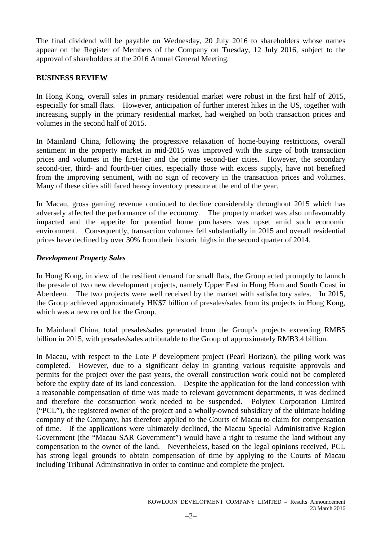The final dividend will be payable on Wednesday, 20 July 2016 to shareholders whose names appear on the Register of Members of the Company on Tuesday, 12 July 2016, subject to the approval of shareholders at the 2016 Annual General Meeting.

# **BUSINESS REVIEW**

In Hong Kong, overall sales in primary residential market were robust in the first half of 2015, especially for small flats. However, anticipation of further interest hikes in the US, together with increasing supply in the primary residential market, had weighed on both transaction prices and volumes in the second half of 2015.

In Mainland China, following the progressive relaxation of home-buying restrictions, overall sentiment in the property market in mid-2015 was improved with the surge of both transaction prices and volumes in the first-tier and the prime second-tier cities. However, the secondary second-tier, third- and fourth-tier cities, especially those with excess supply, have not benefited from the improving sentiment, with no sign of recovery in the transaction prices and volumes. Many of these cities still faced heavy inventory pressure at the end of the year.

In Macau, gross gaming revenue continued to decline considerably throughout 2015 which has adversely affected the performance of the economy. The property market was also unfavourably impacted and the appetite for potential home purchasers was upset amid such economic environment. Consequently, transaction volumes fell substantially in 2015 and overall residential prices have declined by over 30% from their historic highs in the second quarter of 2014.

# *Development Property Sales*

In Hong Kong, in view of the resilient demand for small flats, the Group acted promptly to launch the presale of two new development projects, namely Upper East in Hung Hom and South Coast in Aberdeen. The two projects were well received by the market with satisfactory sales. In 2015, the Group achieved approximately HK\$7 billion of presales/sales from its projects in Hong Kong, which was a new record for the Group.

In Mainland China, total presales/sales generated from the Group's projects exceeding RMB5 billion in 2015, with presales/sales attributable to the Group of approximately RMB3.4 billion.

In Macau, with respect to the Lote P development project (Pearl Horizon), the piling work was completed. However, due to a significant delay in granting various requisite approvals and permits for the project over the past years, the overall construction work could not be completed before the expiry date of its land concession. Despite the application for the land concession with a reasonable compensation of time was made to relevant government departments, it was declined and therefore the construction work needed to be suspended. Polytex Corporation Limited ("PCL"), the registered owner of the project and a wholly-owned subsidiary of the ultimate holding company of the Company, has therefore applied to the Courts of Macau to claim for compensation of time. If the applications were ultimately declined, the Macau Special Administrative Region Government (the "Macau SAR Government") would have a right to resume the land without any compensation to the owner of the land. Nevertheless, based on the legal opinions received, PCL has strong legal grounds to obtain compensation of time by applying to the Courts of Macau including Tribunal Adminsitrativo in order to continue and complete the project.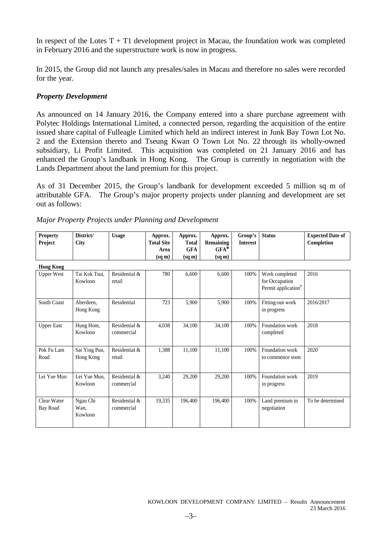In respect of the Lotes  $T + T1$  development project in Macau, the foundation work was completed in February 2016 and the superstructure work is now in progress.

In 2015, the Group did not launch any presales/sales in Macau and therefore no sales were recorded for the year.

# *Property Development*

As announced on 14 January 2016, the Company entered into a share purchase agreement with Polytec Holdings International Limited, a connected person, regarding the acquisition of the entire issued share capital of Fulleagle Limited which held an indirect interest in Junk Bay Town Lot No. 2 and the Extension thereto and Tseung Kwan O Town Lot No. 22 through its wholly-owned subsidiary, Li Profit Limited. This acquisition was completed on 21 January 2016 and has enhanced the Group's landbank in Hong Kong. The Group is currently in negotiation with the Lands Department about the land premium for this project.

As of 31 December 2015, the Group's landbank for development exceeded 5 million sq m of attributable GFA. The Group's major property projects under planning and development are set out as follows:

| <b>Property</b> | District/ | Jsage | Approx.           | Approx. | Approx.            | Group's Status  | <b>Expected Date of</b> |
|-----------------|-----------|-------|-------------------|---------|--------------------|-----------------|-------------------------|
| Project         | City      |       | <b>Total Site</b> | Total   | <b>Remaining</b>   | <b>Interest</b> | Completion              |
|                 |           |       | Area              | GFA     | $GFA^*$            |                 |                         |
|                 |           |       | (sa m)            | (sa m)  | $(sq \, \text{m})$ |                 |                         |
|                 |           |       |                   |         |                    |                 |                         |

|  |  | Major Property Projects under Planning and Development |
|--|--|--------------------------------------------------------|
|  |  |                                                        |

| Hong Kong               |                             |                             |        |         |         |      |                                                                     |                  |
|-------------------------|-----------------------------|-----------------------------|--------|---------|---------|------|---------------------------------------------------------------------|------------------|
| <b>Upper West</b>       | Tai Kok Tsui.<br>Kowloon    | Residential &<br>retail     | 780    | 6,600   | 6,600   | 100% | Work completed<br>for Occupation<br>Permit application <sup>#</sup> | 2016             |
| South Coast             | Aberdeen,<br>Hong Kong      | Residential                 | 723    | 5,900   | 5,900   | 100% | Fitting-out work<br>in progress                                     | 2016/2017        |
| <b>Upper East</b>       | Hung Hom,<br>Kowloon        | Residential &<br>commercial | 4,038  | 34,100  | 34,100  | 100% | Foundation work<br>completed                                        | 2018             |
| Pok Fu Lam<br>Road      | Sai Ying Pun,<br>Hong Kong  | Residential &<br>retail     | 1,388  | 11,100  | 11,100  | 100% | Foundation work<br>to commence soon                                 | 2020             |
| Lei Yue Mun             | Lei Yue Mun,<br>Kowloon     | Residential &<br>commercial | 3,240  | 29,200  | 29,200  | 100% | Foundation work<br>in progress                                      | 2019             |
| Clear Water<br>Bay Road | Ngau Chi<br>Wan.<br>Kowloon | Residential &<br>commercial | 19,335 | 196,400 | 196,400 | 100% | Land premium in<br>negotiation                                      | To be determined |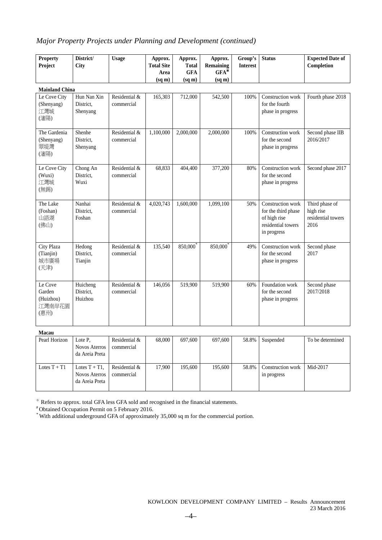# *Major Property Projects under Planning and Development (continued)*

| <b>Property</b>                                  | District/                            | <b>Usage</b>                | Approx.                   | Approx.                    | Approx.                     | Group's         | <b>Status</b>                                                                                 | <b>Expected Date of</b>                                   |  |  |
|--------------------------------------------------|--------------------------------------|-----------------------------|---------------------------|----------------------------|-----------------------------|-----------------|-----------------------------------------------------------------------------------------------|-----------------------------------------------------------|--|--|
| Project                                          | City                                 |                             | <b>Total Site</b><br>Area | <b>Total</b><br><b>GFA</b> | <b>Remaining</b><br>$GFA^*$ | <b>Interest</b> |                                                                                               | Completion                                                |  |  |
|                                                  |                                      |                             | $(sq \, \text{m})$        | $(sq \, \text{m})$         | $(sq \, m)$                 |                 |                                                                                               |                                                           |  |  |
| <b>Mainland China</b>                            |                                      |                             |                           |                            |                             |                 |                                                                                               |                                                           |  |  |
| Le Cove City<br>(Shenyang)<br>江灣城<br>(瀋陽)        | Hun Nan Xin<br>District,<br>Shenyang | Residential &<br>commercial | 165,303                   | 712,000                    | 542,500                     | 100%            | Construction work<br>for the fourth<br>phase in progress                                      | Fourth phase 2018                                         |  |  |
| The Gardenia<br>(Shenyang)<br>翠堤灣<br>(瀋陽)        | Shenhe<br>District.<br>Shenyang      | Residential &<br>commercial | 1,100,000                 | 2,000,000                  | 2,000,000                   | 100%            | Construction work<br>for the second<br>phase in progress                                      | Second phase IIB<br>2016/2017                             |  |  |
| Le Cove City<br>(Wuxi)<br>江灣城<br>(無錫)            | Chong An<br>District.<br>Wuxi        | Residential &<br>commercial | 68,833                    | 404,400                    | 377,200                     | 80%             | Construction work<br>for the second<br>phase in progress                                      | Second phase 2017                                         |  |  |
| The Lake<br>(Foshan)<br>山語湖<br>(佛山)              | Nanhai<br>District.<br>Foshan        | Residential &<br>commercial | 4,020,743                 | 1,600,000                  | 1,099,100                   | 50%             | Construction work<br>for the third phase<br>of high rise<br>residential towers<br>in progress | Third phase of<br>high rise<br>residential towers<br>2016 |  |  |
| City Plaza<br>(Tianjin)<br>城市廣場<br>(天津)          | Hedong<br>District,<br>Tianjin       | Residential &<br>commercial | 135,540                   | 850,000*                   | 850,000                     | 49%             | Construction work<br>for the second<br>phase in progress                                      | Second phase<br>2017                                      |  |  |
| Le Cove<br>Garden<br>(Huizhou)<br>江灣南岸花園<br>(惠州) | Huicheng<br>District,<br>Huizhou     | Residential &<br>commercial | 146,056                   | 519,900                    | 519,900                     | 60%             | Foundation work<br>for the second<br>phase in progress                                        | Second phase<br>2017/2018                                 |  |  |
| Macau                                            |                                      |                             |                           |                            |                             |                 |                                                                                               |                                                           |  |  |

| Pearl Horizon  | Lote P.<br><b>Novos Aterros</b><br>da Areia Preta          | Residential &<br>commercial | 68,000 | 697.600 | 697,600 | 58.8% | Suspended                        | To be determined |
|----------------|------------------------------------------------------------|-----------------------------|--------|---------|---------|-------|----------------------------------|------------------|
| Lotes $T + T1$ | Lotes $T + T1$ ,<br><b>Novos Aterros</b><br>da Areia Preta | Residential &<br>commercial | 17.900 | 195,600 | 195.600 | 58.8% | Construction work<br>in progress | Mid-2017         |

※ Refers to approx. total GFA less GFA sold and recognised in the financial statements.

# Obtained Occupation Permit on 5 February 2016.

\* With additional underground GFA of approximately 35,000 sq m for the commercial portion.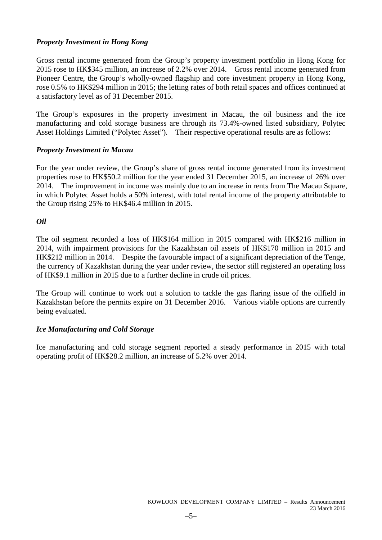# *Property Investment in Hong Kong*

Gross rental income generated from the Group's property investment portfolio in Hong Kong for 2015 rose to HK\$345 million, an increase of 2.2% over 2014. Gross rental income generated from Pioneer Centre, the Group's wholly-owned flagship and core investment property in Hong Kong, rose 0.5% to HK\$294 million in 2015; the letting rates of both retail spaces and offices continued at a satisfactory level as of 31 December 2015.

The Group's exposures in the property investment in Macau, the oil business and the ice manufacturing and cold storage business are through its 73.4%-owned listed subsidiary, Polytec Asset Holdings Limited ("Polytec Asset"). Their respective operational results are as follows:

# *Property Investment in Macau*

For the year under review, the Group's share of gross rental income generated from its investment properties rose to HK\$50.2 million for the year ended 31 December 2015, an increase of 26% over 2014. The improvement in income was mainly due to an increase in rents from The Macau Square, in which Polytec Asset holds a 50% interest, with total rental income of the property attributable to the Group rising 25% to HK\$46.4 million in 2015.

# *Oil*

The oil segment recorded a loss of HK\$164 million in 2015 compared with HK\$216 million in 2014, with impairment provisions for the Kazakhstan oil assets of HK\$170 million in 2015 and HK\$212 million in 2014. Despite the favourable impact of a significant depreciation of the Tenge, the currency of Kazakhstan during the year under review, the sector still registered an operating loss of HK\$9.1 million in 2015 due to a further decline in crude oil prices.

The Group will continue to work out a solution to tackle the gas flaring issue of the oilfield in Kazakhstan before the permits expire on 31 December 2016. Various viable options are currently being evaluated.

# *Ice Manufacturing and Cold Storage*

Ice manufacturing and cold storage segment reported a steady performance in 2015 with total operating profit of HK\$28.2 million, an increase of 5.2% over 2014.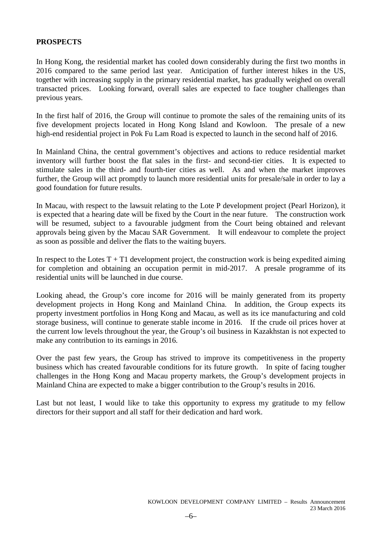# **PROSPECTS**

In Hong Kong, the residential market has cooled down considerably during the first two months in 2016 compared to the same period last year. Anticipation of further interest hikes in the US, together with increasing supply in the primary residential market, has gradually weighed on overall transacted prices. Looking forward, overall sales are expected to face tougher challenges than previous years.

In the first half of 2016, the Group will continue to promote the sales of the remaining units of its five development projects located in Hong Kong Island and Kowloon. The presale of a new high-end residential project in Pok Fu Lam Road is expected to launch in the second half of 2016.

In Mainland China, the central government's objectives and actions to reduce residential market inventory will further boost the flat sales in the first- and second-tier cities. It is expected to stimulate sales in the third- and fourth-tier cities as well. As and when the market improves further, the Group will act promptly to launch more residential units for presale/sale in order to lay a good foundation for future results.

In Macau, with respect to the lawsuit relating to the Lote P development project (Pearl Horizon), it is expected that a hearing date will be fixed by the Court in the near future. The construction work will be resumed, subject to a favourable judgment from the Court being obtained and relevant approvals being given by the Macau SAR Government. It will endeavour to complete the project as soon as possible and deliver the flats to the waiting buyers.

In respect to the Lotes  $T + T1$  development project, the construction work is being expedited aiming for completion and obtaining an occupation permit in mid-2017. A presale programme of its residential units will be launched in due course.

Looking ahead, the Group's core income for 2016 will be mainly generated from its property development projects in Hong Kong and Mainland China. In addition, the Group expects its property investment portfolios in Hong Kong and Macau, as well as its ice manufacturing and cold storage business, will continue to generate stable income in 2016. If the crude oil prices hover at the current low levels throughout the year, the Group's oil business in Kazakhstan is not expected to make any contribution to its earnings in 2016.

Over the past few years, the Group has strived to improve its competitiveness in the property business which has created favourable conditions for its future growth. In spite of facing tougher challenges in the Hong Kong and Macau property markets, the Group's development projects in Mainland China are expected to make a bigger contribution to the Group's results in 2016.

Last but not least, I would like to take this opportunity to express my gratitude to my fellow directors for their support and all staff for their dedication and hard work.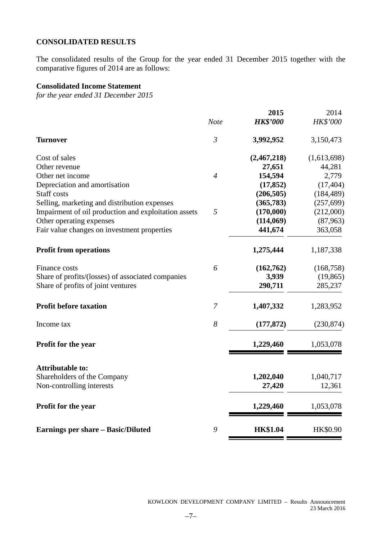# **CONSOLIDATED RESULTS**

The consolidated results of the Group for the year ended 31 December 2015 together with the comparative figures of 2014 are as follows:

# **Consolidated Income Statement**

*for the year ended 31 December 2015*

|                | 2015            | 2014                            |
|----------------|-----------------|---------------------------------|
| <b>Note</b>    | <b>HK\$'000</b> | HK\$'000                        |
| $\mathfrak{Z}$ | 3,992,952       | 3,150,473                       |
|                | (2,467,218)     | (1,613,698)                     |
|                | 27,651          | 44,281                          |
| $\overline{4}$ | 154,594         | 2,779                           |
|                | (17, 852)       | (17, 404)                       |
|                | (206, 505)      | (184, 489)                      |
|                | (365, 783)      | (257, 699)                      |
| 5              | (170,000)       | (212,000)                       |
|                |                 | (87,963)                        |
|                | 441,674         | 363,058                         |
|                | 1,275,444       | 1,187,338                       |
| 6              |                 | (168, 758)                      |
|                |                 | (19, 865)                       |
|                | 290,711         | 285,237                         |
| 7              | 1,407,332       | 1,283,952                       |
| 8              | (177, 872)      | (230, 874)                      |
|                | 1,229,460       | 1,053,078                       |
|                |                 |                                 |
|                | 1,202,040       | 1,040,717                       |
|                | 27,420          | 12,361                          |
|                | 1,229,460       | 1,053,078                       |
| 9              | <b>HK\$1.04</b> | HK\$0.90                        |
|                |                 | (114,069)<br>(162,762)<br>3,939 |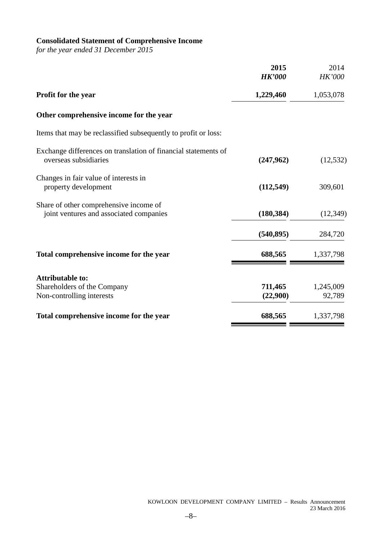# **Consolidated Statement of Comprehensive Income**

*for the year ended 31 December 2015*

|                                                                                         | 2015          | 2014          |
|-----------------------------------------------------------------------------------------|---------------|---------------|
|                                                                                         | <b>HK'000</b> | <b>HK'000</b> |
| Profit for the year                                                                     | 1,229,460     | 1,053,078     |
| Other comprehensive income for the year                                                 |               |               |
| Items that may be reclassified subsequently to profit or loss:                          |               |               |
| Exchange differences on translation of financial statements of<br>overseas subsidiaries | (247,962)     | (12, 532)     |
| Changes in fair value of interests in<br>property development                           | (112, 549)    | 309,601       |
| Share of other comprehensive income of<br>joint ventures and associated companies       | (180, 384)    | (12, 349)     |
|                                                                                         | (540, 895)    | 284,720       |
| Total comprehensive income for the year                                                 | 688,565       | 1,337,798     |
| <b>Attributable to:</b>                                                                 |               |               |
| Shareholders of the Company                                                             | 711,465       | 1,245,009     |
| Non-controlling interests                                                               | (22,900)      | 92,789        |
| Total comprehensive income for the year                                                 | 688,565       | 1,337,798     |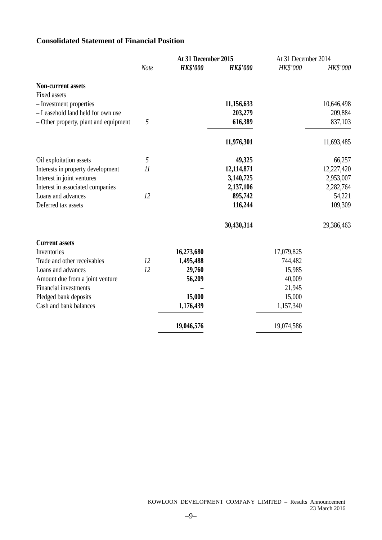# **Consolidated Statement of Financial Position**

|                                       |             | At 31 December 2015 |                 | At 31 December 2014 |            |
|---------------------------------------|-------------|---------------------|-----------------|---------------------|------------|
|                                       | <b>Note</b> | <b>HK\$'000</b>     | <b>HK\$'000</b> | HK\$'000            | HK\$'000   |
| <b>Non-current assets</b>             |             |                     |                 |                     |            |
| Fixed assets                          |             |                     |                 |                     |            |
| - Investment properties               |             |                     | 11,156,633      |                     | 10,646,498 |
| - Leasehold land held for own use     |             |                     | 203,279         |                     | 209,884    |
| - Other property, plant and equipment | 5           |                     | 616,389         |                     | 837,103    |
|                                       |             |                     | 11,976,301      |                     | 11,693,485 |
| Oil exploitation assets               | 5           |                     | 49,325          |                     | 66,257     |
| Interests in property development     | 11          |                     | 12,114,871      |                     | 12,227,420 |
| Interest in joint ventures            |             |                     | 3,140,725       |                     | 2,953,007  |
| Interest in associated companies      |             |                     | 2,137,106       |                     | 2,282,764  |
| Loans and advances                    | 12          |                     | 895,742         |                     | 54,221     |
| Deferred tax assets                   |             |                     | 116,244         |                     | 109,309    |
|                                       |             |                     | 30,430,314      |                     | 29,386,463 |
| <b>Current assets</b>                 |             |                     |                 |                     |            |
| Inventories                           |             | 16,273,680          |                 | 17,079,825          |            |
| Trade and other receivables           | 12          | 1,495,488           |                 | 744,482             |            |
| Loans and advances                    | 12          | 29,760              |                 | 15,985              |            |
| Amount due from a joint venture       |             | 56,209              |                 | 40,009              |            |
| Financial investments                 |             |                     |                 | 21,945              |            |
| Pledged bank deposits                 |             | 15,000              |                 | 15,000              |            |
| Cash and bank balances                |             | 1,176,439           |                 | 1,157,340           |            |
|                                       |             | 19,046,576          |                 | 19,074,586          |            |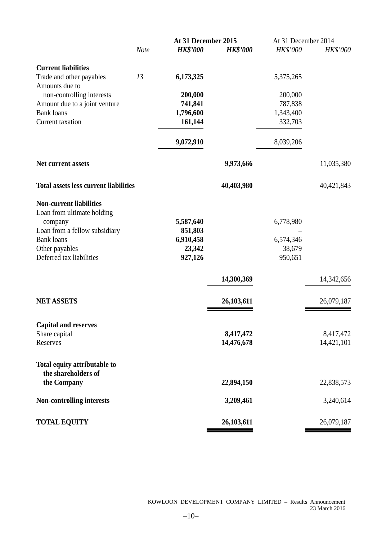|                                                     |             | At 31 December 2015  |                 | At 31 December 2014 |            |
|-----------------------------------------------------|-------------|----------------------|-----------------|---------------------|------------|
|                                                     | <b>Note</b> | <b>HK\$'000</b>      | <b>HK\$'000</b> | HK\$'000            | HK\$'000   |
| <b>Current liabilities</b>                          |             |                      |                 |                     |            |
| Trade and other payables<br>Amounts due to          | 13          | 6,173,325            |                 | 5,375,265           |            |
| non-controlling interests                           |             | 200,000              |                 | 200,000             |            |
| Amount due to a joint venture                       |             | 741,841              |                 | 787,838             |            |
| <b>Bank loans</b>                                   |             | 1,796,600            |                 | 1,343,400           |            |
| Current taxation                                    |             | 161,144              |                 | 332,703             |            |
|                                                     |             | 9,072,910            |                 | 8,039,206           |            |
| Net current assets                                  |             |                      | 9,973,666       |                     | 11,035,380 |
| <b>Total assets less current liabilities</b>        |             |                      | 40,403,980      |                     | 40,421,843 |
| <b>Non-current liabilities</b>                      |             |                      |                 |                     |            |
| Loan from ultimate holding                          |             |                      |                 |                     |            |
| company<br>Loan from a fellow subsidiary            |             | 5,587,640<br>851,803 |                 | 6,778,980           |            |
| <b>Bank loans</b>                                   |             | 6,910,458            |                 | 6,574,346           |            |
| Other payables                                      |             | 23,342               |                 | 38,679              |            |
| Deferred tax liabilities                            |             | 927,126              |                 | 950,651             |            |
|                                                     |             |                      | 14,300,369      |                     | 14,342,656 |
| <b>NET ASSETS</b>                                   |             |                      | 26,103,611      |                     | 26,079,187 |
| <b>Capital and reserves</b>                         |             |                      |                 |                     |            |
| Share capital                                       |             |                      | 8,417,472       |                     | 8,417,472  |
| Reserves                                            |             |                      | 14,476,678      |                     | 14,421,101 |
| Total equity attributable to<br>the shareholders of |             |                      |                 |                     |            |
| the Company                                         |             |                      | 22,894,150      |                     | 22,838,573 |
| <b>Non-controlling interests</b>                    |             |                      | 3,209,461       |                     | 3,240,614  |
| <b>TOTAL EQUITY</b>                                 |             |                      | 26,103,611      |                     | 26,079,187 |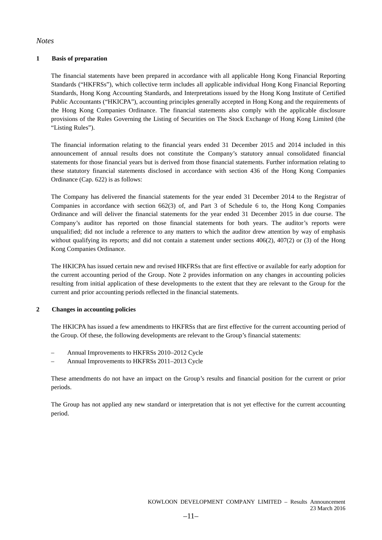### *Notes*

#### **1 Basis of preparation**

The financial statements have been prepared in accordance with all applicable Hong Kong Financial Reporting Standards ("HKFRSs"), which collective term includes all applicable individual Hong Kong Financial Reporting Standards, Hong Kong Accounting Standards, and Interpretations issued by the Hong Kong Institute of Certified Public Accountants ("HKICPA"), accounting principles generally accepted in Hong Kong and the requirements of the Hong Kong Companies Ordinance. The financial statements also comply with the applicable disclosure provisions of the Rules Governing the Listing of Securities on The Stock Exchange of Hong Kong Limited (the "Listing Rules").

The financial information relating to the financial years ended 31 December 2015 and 2014 included in this announcement of annual results does not constitute the Company's statutory annual consolidated financial statements for those financial years but is derived from those financial statements. Further information relating to these statutory financial statements disclosed in accordance with section 436 of the Hong Kong Companies Ordinance (Cap. 622) is as follows:

The Company has delivered the financial statements for the year ended 31 December 2014 to the Registrar of Companies in accordance with section 662(3) of, and Part 3 of Schedule 6 to, the Hong Kong Companies Ordinance and will deliver the financial statements for the year ended 31 December 2015 in due course. The Company's auditor has reported on those financial statements for both years. The auditor's reports were unqualified; did not include a reference to any matters to which the auditor drew attention by way of emphasis without qualifying its reports; and did not contain a statement under sections  $406(2)$ ,  $407(2)$  or (3) of the Hong Kong Companies Ordinance.

The HKICPA has issued certain new and revised HKFRSs that are first effective or available for early adoption for the current accounting period of the Group. Note 2 provides information on any changes in accounting policies resulting from initial application of these developments to the extent that they are relevant to the Group for the current and prior accounting periods reflected in the financial statements.

#### **2 Changes in accounting policies**

The HKICPA has issued a few amendments to HKFRSs that are first effective for the current accounting period of the Group. Of these, the following developments are relevant to the Group's financial statements:

- Annual Improvements to HKFRSs 2010–2012 Cycle
- Annual Improvements to HKFRSs 2011–2013 Cycle

These amendments do not have an impact on the Group's results and financial position for the current or prior periods.

The Group has not applied any new standard or interpretation that is not yet effective for the current accounting period.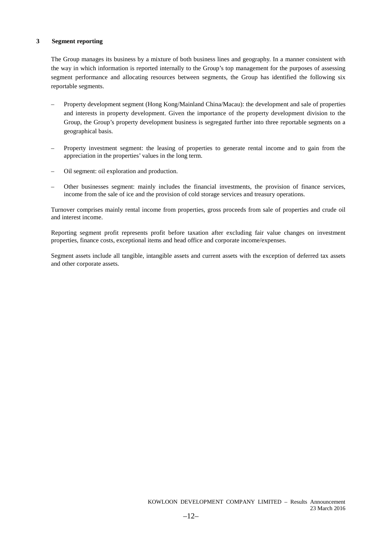#### **3 Segment reporting**

The Group manages its business by a mixture of both business lines and geography. In a manner consistent with the way in which information is reported internally to the Group's top management for the purposes of assessing segment performance and allocating resources between segments, the Group has identified the following six reportable segments.

- Property development segment (Hong Kong/Mainland China/Macau): the development and sale of properties and interests in property development. Given the importance of the property development division to the Group, the Group's property development business is segregated further into three reportable segments on a geographical basis.
- Property investment segment: the leasing of properties to generate rental income and to gain from the appreciation in the properties' values in the long term.
- Oil segment: oil exploration and production.
- Other businesses segment: mainly includes the financial investments, the provision of finance services, income from the sale of ice and the provision of cold storage services and treasury operations.

Turnover comprises mainly rental income from properties, gross proceeds from sale of properties and crude oil and interest income.

Reporting segment profit represents profit before taxation after excluding fair value changes on investment properties, finance costs, exceptional items and head office and corporate income/expenses.

Segment assets include all tangible, intangible assets and current assets with the exception of deferred tax assets and other corporate assets.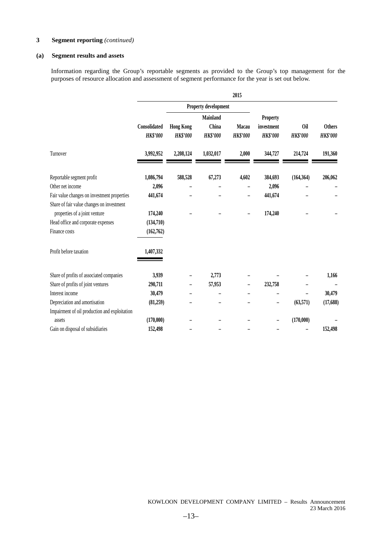#### **(a) Segment results and assets**

Information regarding the Group's reportable segments as provided to the Group's top management for the purposes of resource allocation and assessment of segment performance for the year is set out below.

|                                               |                 |                  |                      | 2015            |                 |                 |                 |
|-----------------------------------------------|-----------------|------------------|----------------------|-----------------|-----------------|-----------------|-----------------|
|                                               |                 |                  | Property development |                 |                 |                 |                 |
|                                               |                 |                  | Mainland             |                 | <b>Property</b> |                 |                 |
|                                               | Consolidated    | <b>Hong Kong</b> | China                | <b>Macau</b>    | investment      | <b>Oil</b>      | <b>Others</b>   |
|                                               | <b>HK\$'000</b> | <b>HK\$'000</b>  | <b>HK\$'000</b>      | <b>HK\$'000</b> | <b>HK\$'000</b> | <b>HK\$'000</b> | <b>HK\$'000</b> |
| Turnover                                      | 3,992,952       | 2,208,124        | 1,032,017            | 2,000           | 344,727         | 214,724         | 191,360         |
| Reportable segment profit                     | 1,086,794       | 588,528          | 67,273               | 4,602           | 384,693         | (164, 364)      | 206,062         |
| Other net income                              | 2,096           |                  |                      |                 | 2,096           |                 |                 |
| Fair value changes on investment properties   | 441,674         |                  |                      |                 | 441,674         |                 |                 |
| Share of fair value changes on investment     |                 |                  |                      |                 |                 |                 |                 |
| properties of a joint venture                 | 174,240         |                  |                      |                 | 174,240         |                 |                 |
| Head office and corporate expenses            | (134,710)       |                  |                      |                 |                 |                 |                 |
| Finance costs                                 | (162,762)       |                  |                      |                 |                 |                 |                 |
| Profit before taxation                        | 1,407,332       |                  |                      |                 |                 |                 |                 |
| Share of profits of associated companies      | 3,939           |                  | 2,773                |                 |                 |                 | 1,166           |
| Share of profits of joint ventures            | 290,711         |                  | 57,953               |                 | 232,758         |                 |                 |
| Interest income                               | 30,479          |                  |                      |                 |                 |                 | 30,479          |
| Depreciation and amortisation                 | (81,259)        |                  |                      |                 |                 | (63,571)        | (17,688)        |
| Impairment of oil production and exploitation |                 |                  |                      |                 |                 |                 |                 |
| assets                                        | (170,000)       |                  |                      |                 |                 | (170,000)       |                 |
| Gain on disposal of subsidiaries              | 152,498         |                  |                      |                 |                 |                 | 152,498         |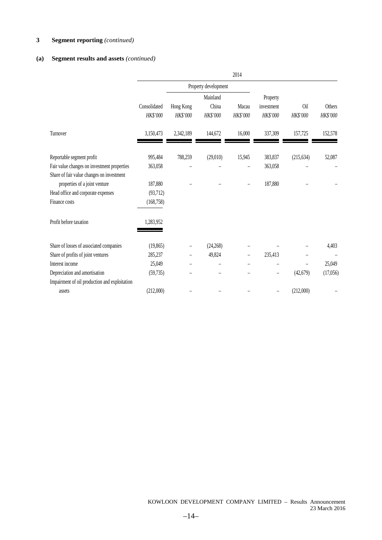### **(a) Segment results and assets** *(continued)*

|                                               |                          |                       |                      | 2014              |                        |                 |                    |
|-----------------------------------------------|--------------------------|-----------------------|----------------------|-------------------|------------------------|-----------------|--------------------|
|                                               |                          |                       | Property development |                   |                        |                 |                    |
|                                               |                          |                       | Mainland             |                   | Property               |                 |                    |
|                                               | Consolidated<br>HK\$'000 | Hong Kong<br>HK\$'000 | China<br>HK\$'000    | Macau<br>HK\$'000 | investment<br>HK\$'000 | Oil<br>HK\$'000 | Others<br>HK\$'000 |
| Turnover                                      | 3,150,473                | 2,342,189             | 144,672              | 16,000            | 337,309                | 157,725         | 152,578            |
| Reportable segment profit                     | 995,484                  | 788,259               | (29,010)             | 15,945            | 383,837                | (215, 634)      | 52,087             |
| Fair value changes on investment properties   | 363,058                  |                       |                      |                   | 363,058                |                 |                    |
| Share of fair value changes on investment     |                          |                       |                      |                   |                        |                 |                    |
| properties of a joint venture                 | 187,880                  |                       |                      |                   | 187,880                |                 |                    |
| Head office and corporate expenses            | (93,712)                 |                       |                      |                   |                        |                 |                    |
| Finance costs                                 | (168, 758)               |                       |                      |                   |                        |                 |                    |
| Profit before taxation                        | 1,283,952                |                       |                      |                   |                        |                 |                    |
| Share of losses of associated companies       | (19, 865)                |                       | (24, 268)            |                   |                        |                 | 4,403              |
| Share of profits of joint ventures            | 285,237                  |                       | 49,824               |                   | 235,413                |                 |                    |
| Interest income                               | 25,049                   |                       |                      |                   |                        | $\overline{a}$  | 25,049             |
| Depreciation and amortisation                 | (59, 735)                |                       |                      |                   |                        | (42, 679)       | (17,056)           |
| Impairment of oil production and exploitation |                          |                       |                      |                   |                        |                 |                    |
| assets                                        | (212,000)                |                       |                      |                   |                        | (212,000)       |                    |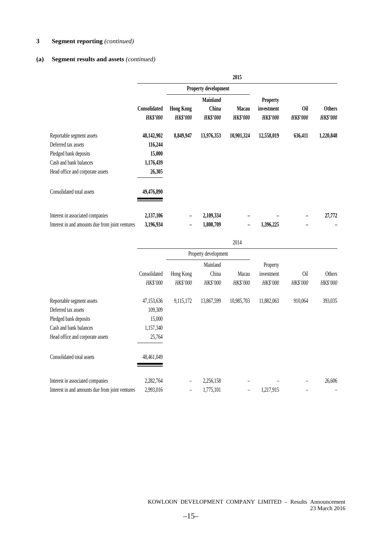#### **(a) Segment results and assets** *(continued)*

|                                                 |                 |                          |                      | 2015            |                 |                 |                 |
|-------------------------------------------------|-----------------|--------------------------|----------------------|-----------------|-----------------|-----------------|-----------------|
|                                                 |                 |                          | Property development |                 |                 |                 |                 |
|                                                 |                 |                          | <b>Mainland</b>      |                 | <b>Property</b> |                 |                 |
|                                                 | Consolidated    | <b>Hong Kong</b>         | China                | <b>Macau</b>    | investment      | <b>Oil</b>      | <b>Others</b>   |
|                                                 | <b>HK\$'000</b> | <b>HK\$'000</b>          | <b>HK\$'000</b>      | <b>HK\$'000</b> | <b>HK\$'000</b> | <b>HK\$'000</b> | <b>HK\$'000</b> |
| Reportable segment assets                       | 48,142,902      | 8,849,947                | 13,976,353           | 10,901,324      | 12,558,019      | 636,411         | 1,220,848       |
| Deferred tax assets                             | 116,244         |                          |                      |                 |                 |                 |                 |
| Pledged bank deposits                           | 15,000          |                          |                      |                 |                 |                 |                 |
| Cash and bank balances                          | 1,176,439       |                          |                      |                 |                 |                 |                 |
| Head office and corporate assets                | 26,305          |                          |                      |                 |                 |                 |                 |
| Consolidated total assets                       | 49,476,890      |                          |                      |                 |                 |                 |                 |
| Interest in associated companies                | 2,137,106       | $\overline{\phantom{0}}$ | 2,109,334            |                 |                 |                 | 27,772          |
| Interest in and amounts due from joint ventures | 3,196,934       | -                        | 1,800,709            |                 | 1,396,225       |                 |                 |

|                                                 |                          |                       |                               | 2014              |                                    |                 |                    |
|-------------------------------------------------|--------------------------|-----------------------|-------------------------------|-------------------|------------------------------------|-----------------|--------------------|
|                                                 |                          |                       | Property development          |                   |                                    |                 |                    |
|                                                 | Consolidated<br>HK\$'000 | Hong Kong<br>HK\$'000 | Mainland<br>China<br>HK\$'000 | Macau<br>HK\$'000 | Property<br>investment<br>HK\$'000 | 0il<br>HK\$'000 | Others<br>HK\$'000 |
| Reportable segment assets                       | 47,153,636               | 9,115,172             | 13,867,599                    | 10,985,703        | 11,882,063                         | 910,064         | 393,035            |
| Deferred tax assets                             | 109,309                  |                       |                               |                   |                                    |                 |                    |
| Pledged bank deposits                           | 15,000                   |                       |                               |                   |                                    |                 |                    |
| Cash and bank balances                          | 1,157,340                |                       |                               |                   |                                    |                 |                    |
| Head office and corporate assets                | 25,764                   |                       |                               |                   |                                    |                 |                    |
| Consolidated total assets                       | 48,461,049               |                       |                               |                   |                                    |                 |                    |
| Interest in associated companies                | 2,282,764                | -                     | 2,256,158                     |                   |                                    |                 | 26,606             |
| Interest in and amounts due from joint ventures | 2,993,016                | -                     | 1,775,101                     |                   | 1,217,915                          |                 |                    |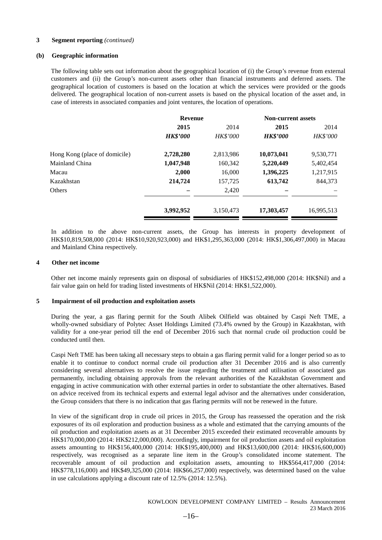#### **(b) Geographic information**

The following table sets out information about the geographical location of (i) the Group's revenue from external customers and (ii) the Group's non-current assets other than financial instruments and deferred assets. The geographical location of customers is based on the location at which the services were provided or the goods delivered. The geographical location of non-current assets is based on the physical location of the asset and, in case of interests in associated companies and joint ventures, the location of operations.

|                               | <b>Revenue</b>  |           | <b>Non-current assets</b> |            |
|-------------------------------|-----------------|-----------|---------------------------|------------|
|                               | 2015            | 2014      | 2015                      | 2014       |
|                               | <b>HK\$'000</b> | HK\$'000  | <b>HK\$'000</b>           | HK\$'000   |
| Hong Kong (place of domicile) | 2,728,280       | 2,813,986 | 10,073,041                | 9,530,771  |
| Mainland China                | 1,047,948       | 160,342   | 5,220,449                 | 5,402,454  |
| Macau                         | 2,000           | 16,000    | 1,396,225                 | 1,217,915  |
| Kazakhstan                    | 214,724         | 157,725   | 613,742                   | 844,373    |
| Others                        |                 | 2,420     |                           |            |
|                               | 3,992,952       | 3,150,473 | 17,303,457                | 16,995,513 |

In addition to the above non-current assets, the Group has interests in property development of HK\$10,819,508,000 (2014: HK\$10,920,923,000) and HK\$1,295,363,000 (2014: HK\$1,306,497,000) in Macau and Mainland China respectively.

#### **4 Other net income**

Other net income mainly represents gain on disposal of subsidiaries of HK\$152,498,000 (2014: HK\$Nil) and a fair value gain on held for trading listed investments of HK\$Nil (2014: HK\$1,522,000).

#### **5 Impairment of oil production and exploitation assets**

During the year, a gas flaring permit for the South Alibek Oilfield was obtained by Caspi Neft TME, a wholly-owned subsidiary of Polytec Asset Holdings Limited (73.4% owned by the Group) in Kazakhstan, with validity for a one-year period till the end of December 2016 such that normal crude oil production could be conducted until then.

Caspi Neft TME has been taking all necessary steps to obtain a gas flaring permit valid for a longer period so as to enable it to continue to conduct normal crude oil production after 31 December 2016 and is also currently considering several alternatives to resolve the issue regarding the treatment and utilisation of associated gas permanently, including obtaining approvals from the relevant authorities of the Kazakhstan Government and engaging in active communication with other external parties in order to substantiate the other alternatives. Based on advice received from its technical experts and external legal advisor and the alternatives under consideration, the Group considers that there is no indication that gas flaring permits will not be renewed in the future.

In view of the significant drop in crude oil prices in 2015, the Group has reassessed the operation and the risk exposures of its oil exploration and production business as a whole and estimated that the carrying amounts of the oil production and exploitation assets as at 31 December 2015 exceeded their estimated recoverable amounts by HK\$170,000,000 (2014: HK\$212,000,000). Accordingly, impairment for oil production assets and oil exploitation assets amounting to HK\$156,400,000 (2014: HK\$195,400,000) and HK\$13,600,000 (2014: HK\$16,600,000) respectively, was recognised as a separate line item in the Group's consolidated income statement. The recoverable amount of oil production and exploitation assets, amounting to HK\$564,417,000 (2014: HK\$778,116,000) and HK\$49,325,000 (2014: HK\$66,257,000) respectively, was determined based on the value in use calculations applying a discount rate of 12.5% (2014: 12.5%).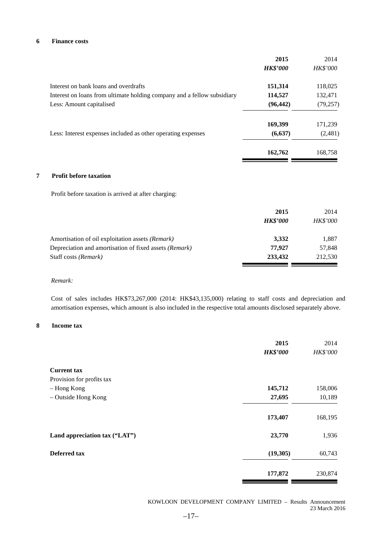#### **6 Finance costs**

| Interest on bank loans and overdrafts<br>151,314<br>118,025<br>Interest on loans from ultimate holding company and a fellow subsidiary<br>114,527<br>132,471<br>(96, 442)<br>Less: Amount capitalised<br>(79, 257)<br>169,399<br>171,239<br>(6, 637)<br>(2,481)<br>Less: Interest expenses included as other operating expenses<br>162,762<br>168,758<br><b>Profit before taxation</b><br>Profit before taxation is arrived at after charging:<br>2015<br>2014<br><b>HK\$'000</b><br><b>HK\$'000</b><br>3,332<br>1,887<br>Amortisation of oil exploitation assets (Remark)<br>Depreciation and amortisation of fixed assets (Remark)<br>77,927<br>57,848<br>Staff costs (Remark)<br>233,432<br>212,530 |   | 2015<br><b>HK\$'000</b> | 2014<br>HK\$'000 |
|--------------------------------------------------------------------------------------------------------------------------------------------------------------------------------------------------------------------------------------------------------------------------------------------------------------------------------------------------------------------------------------------------------------------------------------------------------------------------------------------------------------------------------------------------------------------------------------------------------------------------------------------------------------------------------------------------------|---|-------------------------|------------------|
|                                                                                                                                                                                                                                                                                                                                                                                                                                                                                                                                                                                                                                                                                                        |   |                         |                  |
|                                                                                                                                                                                                                                                                                                                                                                                                                                                                                                                                                                                                                                                                                                        |   |                         |                  |
|                                                                                                                                                                                                                                                                                                                                                                                                                                                                                                                                                                                                                                                                                                        |   |                         |                  |
|                                                                                                                                                                                                                                                                                                                                                                                                                                                                                                                                                                                                                                                                                                        |   |                         |                  |
|                                                                                                                                                                                                                                                                                                                                                                                                                                                                                                                                                                                                                                                                                                        |   |                         |                  |
|                                                                                                                                                                                                                                                                                                                                                                                                                                                                                                                                                                                                                                                                                                        |   |                         |                  |
|                                                                                                                                                                                                                                                                                                                                                                                                                                                                                                                                                                                                                                                                                                        |   |                         |                  |
|                                                                                                                                                                                                                                                                                                                                                                                                                                                                                                                                                                                                                                                                                                        | 7 |                         |                  |
|                                                                                                                                                                                                                                                                                                                                                                                                                                                                                                                                                                                                                                                                                                        |   |                         |                  |
|                                                                                                                                                                                                                                                                                                                                                                                                                                                                                                                                                                                                                                                                                                        |   |                         |                  |
|                                                                                                                                                                                                                                                                                                                                                                                                                                                                                                                                                                                                                                                                                                        |   |                         |                  |
|                                                                                                                                                                                                                                                                                                                                                                                                                                                                                                                                                                                                                                                                                                        |   |                         |                  |
|                                                                                                                                                                                                                                                                                                                                                                                                                                                                                                                                                                                                                                                                                                        |   |                         |                  |
|                                                                                                                                                                                                                                                                                                                                                                                                                                                                                                                                                                                                                                                                                                        |   |                         |                  |

#### *Remark:*

Cost of sales includes HK\$73,267,000 (2014: HK\$43,135,000) relating to staff costs and depreciation and amortisation expenses, which amount is also included in the respective total amounts disclosed separately above.

#### **8 Income tax**

|                               | 2015<br><b>HK\$'000</b> | 2014<br>HK\$'000 |
|-------------------------------|-------------------------|------------------|
| <b>Current tax</b>            |                         |                  |
| Provision for profits tax     |                         |                  |
| - Hong Kong                   | 145,712                 | 158,006          |
| - Outside Hong Kong           | 27,695                  | 10,189           |
|                               | 173,407                 | 168,195          |
| Land appreciation tax ("LAT") | 23,770                  | 1,936            |
| <b>Deferred</b> tax           | (19,305)                | 60,743           |
|                               | 177,872                 | 230,874          |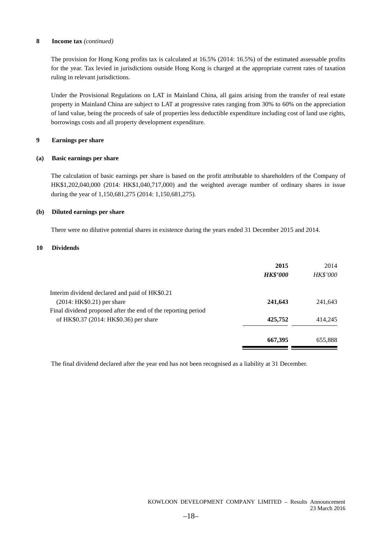#### **8 Income tax** *(continued)*

The provision for Hong Kong profits tax is calculated at 16.5% (2014: 16.5%) of the estimated assessable profits for the year. Tax levied in jurisdictions outside Hong Kong is charged at the appropriate current rates of taxation ruling in relevant jurisdictions.

Under the Provisional Regulations on LAT in Mainland China, all gains arising from the transfer of real estate property in Mainland China are subject to LAT at progressive rates ranging from 30% to 60% on the appreciation of land value, being the proceeds of sale of properties less deductible expenditure including cost of land use rights, borrowings costs and all property development expenditure.

#### **9 Earnings per share**

#### **(a) Basic earnings per share**

The calculation of basic earnings per share is based on the profit attributable to shareholders of the Company of HK\$1,202,040,000 (2014: HK\$1,040,717,000) and the weighted average number of ordinary shares in issue during the year of 1,150,681,275 (2014: 1,150,681,275).

#### **(b) Diluted earnings per share**

There were no dilutive potential shares in existence during the years ended 31 December 2015 and 2014.

#### **10 Dividends**

|                                                               | 2015<br><b>HK\$'000</b> | 2014<br>HK\$'000 |
|---------------------------------------------------------------|-------------------------|------------------|
| Interim dividend declared and paid of HK\$0.21                |                         |                  |
| $(2014:HK$0.21)$ per share                                    | 241,643                 | 241,643          |
| Final dividend proposed after the end of the reporting period |                         |                  |
| of HK\$0.37 (2014: HK\$0.36) per share                        | 425,752                 | 414,245          |
|                                                               | 667,395                 | 655,888          |

The final dividend declared after the year end has not been recognised as a liability at 31 December.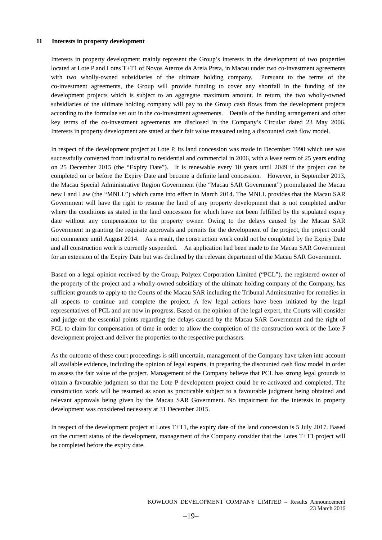#### **11 Interests in property development**

Interests in property development mainly represent the Group's interests in the development of two properties located at Lote P and Lotes T+T1 of Novos Aterros da Areia Preta, in Macau under two co-investment agreements with two wholly-owned subsidiaries of the ultimate holding company. Pursuant to the terms of the co-investment agreements, the Group will provide funding to cover any shortfall in the funding of the development projects which is subject to an aggregate maximum amount. In return, the two wholly-owned subsidiaries of the ultimate holding company will pay to the Group cash flows from the development projects according to the formulae set out in the co-investment agreements. Details of the funding arrangement and other key terms of the co-investment agreements are disclosed in the Company's Circular dated 23 May 2006. Interests in property development are stated at their fair value measured using a discounted cash flow model.

In respect of the development project at Lote P, its land concession was made in December 1990 which use was successfully converted from industrial to residential and commercial in 2006, with a lease term of 25 years ending on 25 December 2015 (the "Expiry Date"). It is renewable every 10 years until 2049 if the project can be completed on or before the Expiry Date and become a definite land concession. However, in September 2013, the Macau Special Administrative Region Government (the "Macau SAR Government") promulgated the Macau new Land Law (the "MNLL") which came into effect in March 2014. The MNLL provides that the Macau SAR Government will have the right to resume the land of any property development that is not completed and/or where the conditions as stated in the land concession for which have not been fulfilled by the stipulated expiry date without any compensation to the property owner. Owing to the delays caused by the Macau SAR Government in granting the requisite approvals and permits for the development of the project, the project could not commence until August 2014. As a result, the construction work could not be completed by the Expiry Date and all construction work is currently suspended. An application had been made to the Macau SAR Government for an extension of the Expiry Date but was declined by the relevant department of the Macau SAR Government.

Based on a legal opinion received by the Group, Polytex Corporation Limited ("PCL"), the registered owner of the property of the project and a wholly-owned subsidiary of the ultimate holding company of the Company, has sufficient grounds to apply to the Courts of the Macau SAR including the Tribunal Adminsitrativo for remedies in all aspects to continue and complete the project. A few legal actions have been initiated by the legal representatives of PCL and are now in progress. Based on the opinion of the legal expert, the Courts will consider and judge on the essential points regarding the delays caused by the Macau SAR Government and the right of PCL to claim for compensation of time in order to allow the completion of the construction work of the Lote P development project and deliver the properties to the respective purchasers.

As the outcome of these court proceedings is still uncertain, management of the Company have taken into account all available evidence, including the opinion of legal experts, in preparing the discounted cash flow model in order to assess the fair value of the project. Management of the Company believe that PCL has strong legal grounds to obtain a favourable judgment so that the Lote P development project could be re-activated and completed. The construction work will be resumed as soon as practicable subject to a favourable judgment being obtained and relevant approvals being given by the Macau SAR Government. No impairment for the interests in property development was considered necessary at 31 December 2015.

In respect of the development project at Lotes T+T1, the expiry date of the land concession is 5 July 2017. Based on the current status of the development, management of the Company consider that the Lotes T+T1 project will be completed before the expiry date.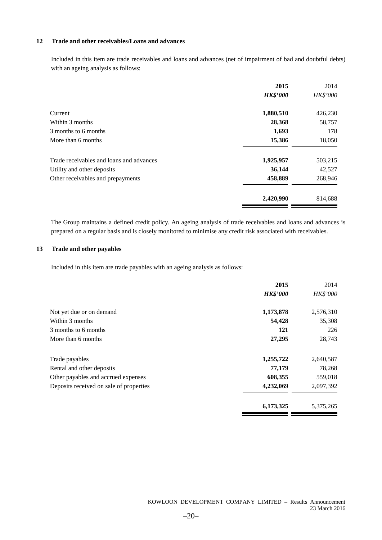#### **12 Trade and other receivables/Loans and advances**

Included in this item are trade receivables and loans and advances (net of impairment of bad and doubtful debts) with an ageing analysis as follows:

|                                          | 2015            | 2014     |
|------------------------------------------|-----------------|----------|
|                                          | <b>HK\$'000</b> | HK\$'000 |
| Current                                  | 1,880,510       | 426,230  |
| Within 3 months                          | 28,368          | 58,757   |
| 3 months to 6 months                     | 1,693           | 178      |
| More than 6 months                       | 15,386          | 18,050   |
| Trade receivables and loans and advances | 1,925,957       | 503,215  |
| Utility and other deposits               | 36,144          | 42,527   |
| Other receivables and prepayments        | 458,889         | 268,946  |
|                                          | 2,420,990       | 814,688  |

The Group maintains a defined credit policy. An ageing analysis of trade receivables and loans and advances is prepared on a regular basis and is closely monitored to minimise any credit risk associated with receivables.

### **13 Trade and other payables**

Included in this item are trade payables with an ageing analysis as follows:

| 2015            | 2014      |
|-----------------|-----------|
| <b>HK\$'000</b> | HK\$'000  |
| 1,173,878       | 2,576,310 |
| 54,428          | 35,308    |
| 121             | 226       |
| 27,295          | 28,743    |
| 1,255,722       | 2,640,587 |
| 77,179          | 78,268    |
| 608,355         | 559,018   |
| 4,232,069       | 2,097,392 |
| 6,173,325       | 5,375,265 |
|                 |           |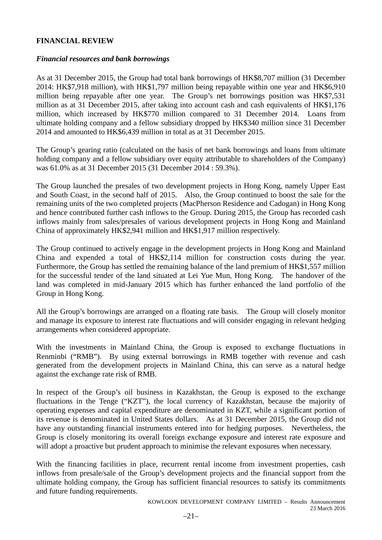# **FINANCIAL REVIEW**

# *Financial resources and bank borrowings*

As at 31 December 2015, the Group had total bank borrowings of HK\$8,707 million (31 December 2014: HK\$7,918 million), with HK\$1,797 million being repayable within one year and HK\$6,910 million being repayable after one year. The Group's net borrowings position was HK\$7,531 million as at 31 December 2015, after taking into account cash and cash equivalents of HK\$1,176 million, which increased by HK\$770 million compared to 31 December 2014. Loans from ultimate holding company and a fellow subsidiary dropped by HK\$340 million since 31 December 2014 and amounted to HK\$6,439 million in total as at 31 December 2015.

The Group's gearing ratio (calculated on the basis of net bank borrowings and loans from ultimate holding company and a fellow subsidiary over equity attributable to shareholders of the Company) was 61.0% as at 31 December 2015 (31 December 2014 : 59.3%).

The Group launched the presales of two development projects in Hong Kong, namely Upper East and South Coast, in the second half of 2015. Also, the Group continued to boost the sale for the remaining units of the two completed projects (MacPherson Residence and Cadogan) in Hong Kong and hence contributed further cash inflows to the Group. During 2015, the Group has recorded cash inflows mainly from sales/presales of various development projects in Hong Kong and Mainland China of approximately HK\$2,941 million and HK\$1,917 million respectively.

The Group continued to actively engage in the development projects in Hong Kong and Mainland China and expended a total of HK\$2,114 million for construction costs during the year. Furthermore, the Group has settled the remaining balance of the land premium of HK\$1,557 million for the successful tender of the land situated at Lei Yue Mun, Hong Kong. The handover of the land was completed in mid-January 2015 which has further enhanced the land portfolio of the Group in Hong Kong.

All the Group's borrowings are arranged on a floating rate basis. The Group will closely monitor and manage its exposure to interest rate fluctuations and will consider engaging in relevant hedging arrangements when considered appropriate.

With the investments in Mainland China, the Group is exposed to exchange fluctuations in Renminbi ("RMB"). By using external borrowings in RMB together with revenue and cash generated from the development projects in Mainland China, this can serve as a natural hedge against the exchange rate risk of RMB.

In respect of the Group's oil business in Kazakhstan, the Group is exposed to the exchange fluctuations in the Tenge ("KZT"), the local currency of Kazakhstan, because the majority of operating expenses and capital expenditure are denominated in KZT, while a significant portion of its revenue is denominated in United States dollars. As at 31 December 2015, the Group did not have any outstanding financial instruments entered into for hedging purposes. Nevertheless, the Group is closely monitoring its overall foreign exchange exposure and interest rate exposure and will adopt a proactive but prudent approach to minimise the relevant exposures when necessary.

With the financing facilities in place, recurrent rental income from investment properties, cash inflows from presale/sale of the Group's development projects and the financial support from the ultimate holding company, the Group has sufficient financial resources to satisfy its commitments and future funding requirements.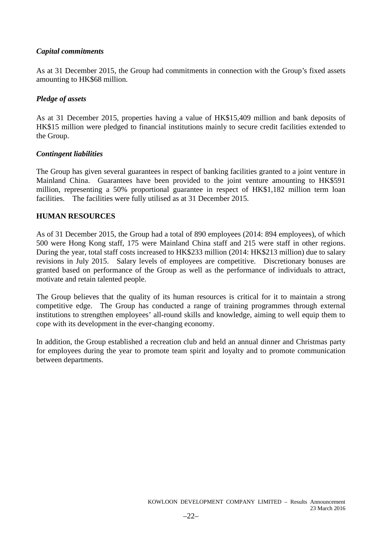# *Capital commitments*

As at 31 December 2015, the Group had commitments in connection with the Group's fixed assets amounting to HK\$68 million.

# *Pledge of assets*

As at 31 December 2015, properties having a value of HK\$15,409 million and bank deposits of HK\$15 million were pledged to financial institutions mainly to secure credit facilities extended to the Group.

# *Contingent liabilities*

The Group has given several guarantees in respect of banking facilities granted to a joint venture in Mainland China. Guarantees have been provided to the joint venture amounting to HK\$591 million, representing a 50% proportional guarantee in respect of HK\$1,182 million term loan facilities. The facilities were fully utilised as at 31 December 2015.

# **HUMAN RESOURCES**

As of 31 December 2015, the Group had a total of 890 employees (2014: 894 employees), of which 500 were Hong Kong staff, 175 were Mainland China staff and 215 were staff in other regions. During the year, total staff costs increased to HK\$233 million (2014: HK\$213 million) due to salary revisions in July 2015. Salary levels of employees are competitive. Discretionary bonuses are granted based on performance of the Group as well as the performance of individuals to attract, motivate and retain talented people.

The Group believes that the quality of its human resources is critical for it to maintain a strong competitive edge. The Group has conducted a range of training programmes through external institutions to strengthen employees' all-round skills and knowledge, aiming to well equip them to cope with its development in the ever-changing economy.

In addition, the Group established a recreation club and held an annual dinner and Christmas party for employees during the year to promote team spirit and loyalty and to promote communication between departments.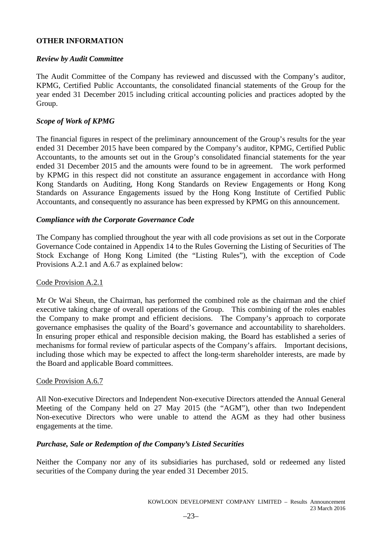# **OTHER INFORMATION**

# *Review by Audit Committee*

The Audit Committee of the Company has reviewed and discussed with the Company's auditor, KPMG, Certified Public Accountants, the consolidated financial statements of the Group for the year ended 31 December 2015 including critical accounting policies and practices adopted by the Group.

# *Scope of Work of KPMG*

The financial figures in respect of the preliminary announcement of the Group's results for the year ended 31 December 2015 have been compared by the Company's auditor, KPMG, Certified Public Accountants, to the amounts set out in the Group's consolidated financial statements for the year ended 31 December 2015 and the amounts were found to be in agreement. The work performed by KPMG in this respect did not constitute an assurance engagement in accordance with Hong Kong Standards on Auditing, Hong Kong Standards on Review Engagements or Hong Kong Standards on Assurance Engagements issued by the Hong Kong Institute of Certified Public Accountants, and consequently no assurance has been expressed by KPMG on this announcement.

# *Compliance with the Corporate Governance Code*

The Company has complied throughout the year with all code provisions as set out in the Corporate Governance Code contained in Appendix 14 to the Rules Governing the Listing of Securities of The Stock Exchange of Hong Kong Limited (the "Listing Rules"), with the exception of Code Provisions A.2.1 and A.6.7 as explained below:

# Code Provision A.2.1

Mr Or Wai Sheun, the Chairman, has performed the combined role as the chairman and the chief executive taking charge of overall operations of the Group. This combining of the roles enables the Company to make prompt and efficient decisions. The Company's approach to corporate governance emphasises the quality of the Board's governance and accountability to shareholders. In ensuring proper ethical and responsible decision making, the Board has established a series of mechanisms for formal review of particular aspects of the Company's affairs. Important decisions, including those which may be expected to affect the long-term shareholder interests, are made by the Board and applicable Board committees.

# Code Provision A.6.7

All Non-executive Directors and Independent Non-executive Directors attended the Annual General Meeting of the Company held on 27 May 2015 (the "AGM"), other than two Independent Non-executive Directors who were unable to attend the AGM as they had other business engagements at the time.

# *Purchase, Sale or Redemption of the Company's Listed Securities*

Neither the Company nor any of its subsidiaries has purchased, sold or redeemed any listed securities of the Company during the year ended 31 December 2015.